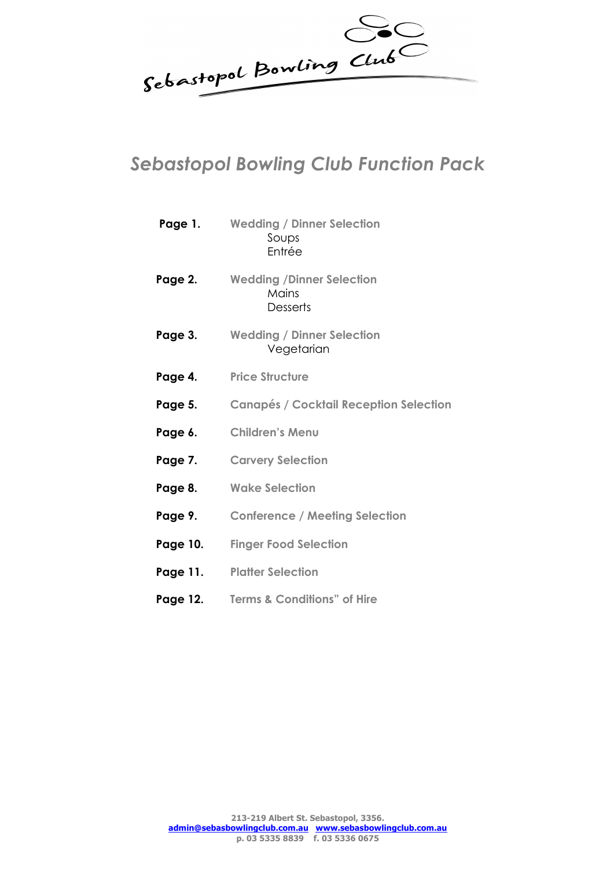Sebastopol Bowling Club

## *Sebastopol Bowling Club Function Pack*

| Page 1.  | <b>Wedding / Dinner Selection</b><br>Soups<br>Entrée                |
|----------|---------------------------------------------------------------------|
| Page 2.  | <b>Wedding /Dinner Selection</b><br><b>Mains</b><br><b>Desserts</b> |
| Page 3.  | <b>Wedding / Dinner Selection</b><br>Vegetarian                     |
| Page 4.  | <b>Price Structure</b>                                              |
| Page 5.  | <b>Canapés / Cocktail Reception Selection</b>                       |
| Page 6.  | <b>Children's Menu</b>                                              |
| Page 7.  | <b>Carvery Selection</b>                                            |
| Page 8.  | <b>Wake Selection</b>                                               |
| Page 9.  | <b>Conference / Meeting Selection</b>                               |
| Page 10. | <b>Finger Food Selection</b>                                        |
| Page 11. | <b>Platter Selection</b>                                            |
| Page 12. | <b>Terms &amp; Conditions" of Hire</b>                              |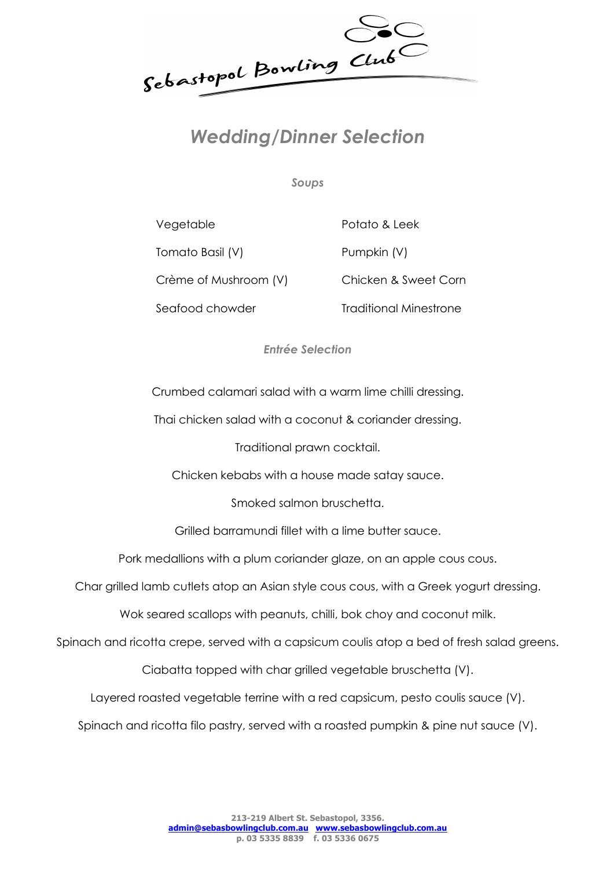Sebastopol Bowling Club

## *Wedding/Dinner Selection*

*Soups*

Vegetable Potato & Leek Tomato Basil (V) Pumpkin (V) Crème of Mushroom (V) Chicken & Sweet Corn Seafood chowder Traditional Minestrone

*Entrée Selection*

Crumbed calamari salad with a warm lime chilli dressing.

Thai chicken salad with a coconut & coriander dressing.

Traditional prawn cocktail.

Chicken kebabs with a house made satay sauce.

Smoked salmon bruschetta.

Grilled barramundi fillet with a lime butter sauce.

Pork medallions with a plum coriander glaze, on an apple cous cous.

Char grilled lamb cutlets atop an Asian style cous cous, with a Greek yogurt dressing.

Wok seared scallops with peanuts, chilli, bok choy and coconut milk.

Spinach and ricotta crepe, served with a capsicum coulis atop a bed of fresh salad greens.

Ciabatta topped with char grilled vegetable bruschetta (V).

Layered roasted vegetable terrine with a red capsicum, pesto coulis sauce (V).

Spinach and ricotta filo pastry, served with a roasted pumpkin & pine nut sauce (V).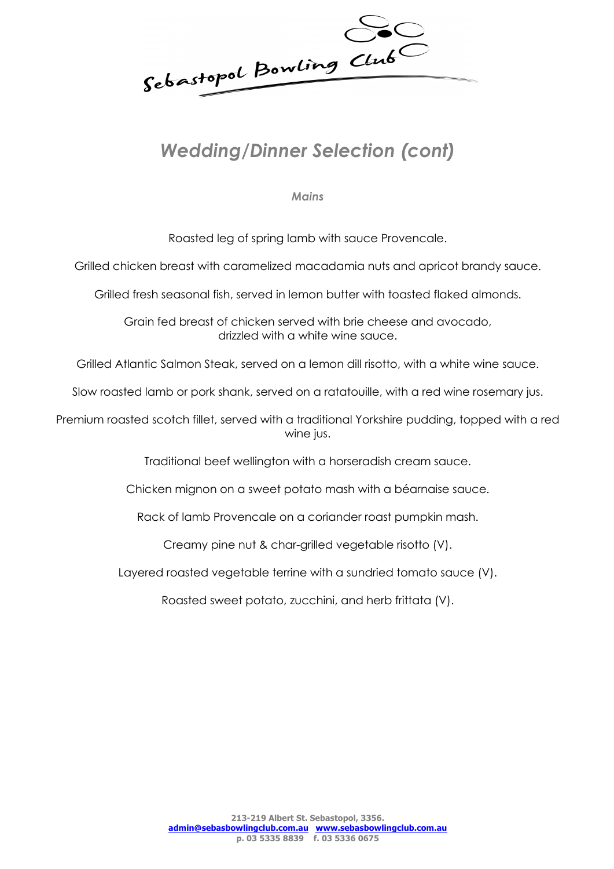Sebastopol Bowling Club

# *Wedding/Dinner Selection (cont)*

*Mains*

Roasted leg of spring lamb with sauce Provencale.

Grilled chicken breast with caramelized macadamia nuts and apricot brandy sauce.

Grilled fresh seasonal fish, served in lemon butter with toasted flaked almonds.

Grain fed breast of chicken served with brie cheese and avocado, drizzled with a white wine sauce.

Grilled Atlantic Salmon Steak, served on a lemon dill risotto, with a white wine sauce.

Slow roasted lamb or pork shank, served on a ratatouille, with a red wine rosemary jus.

Premium roasted scotch fillet, served with a traditional Yorkshire pudding, topped with a red wine jus.

Traditional beef wellington with a horseradish cream sauce.

Chicken mignon on a sweet potato mash with a béarnaise sauce.

Rack of lamb Provencale on a coriander roast pumpkin mash.

Creamy pine nut & char-grilled vegetable risotto (V).

Layered roasted vegetable terrine with a sundried tomato sauce (V).

Roasted sweet potato, zucchini, and herb frittata (V).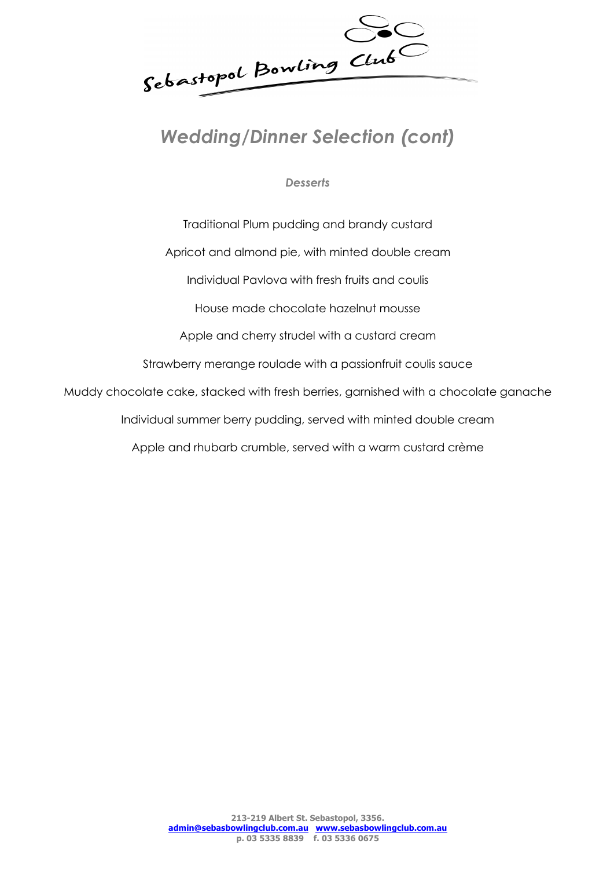Sebastopol Bowling Club

# *Wedding/Dinner Selection (cont)*

*Desserts*

Traditional Plum pudding and brandy custard Apricot and almond pie, with minted double cream Individual Pavlova with fresh fruits and coulis House made chocolate hazelnut mousse Apple and cherry strudel with a custard cream Strawberry merange roulade with a passionfruit coulis sauce Muddy chocolate cake, stacked with fresh berries, garnished with a chocolate ganache Individual summer berry pudding, served with minted double cream Apple and rhubarb crumble, served with a warm custard crème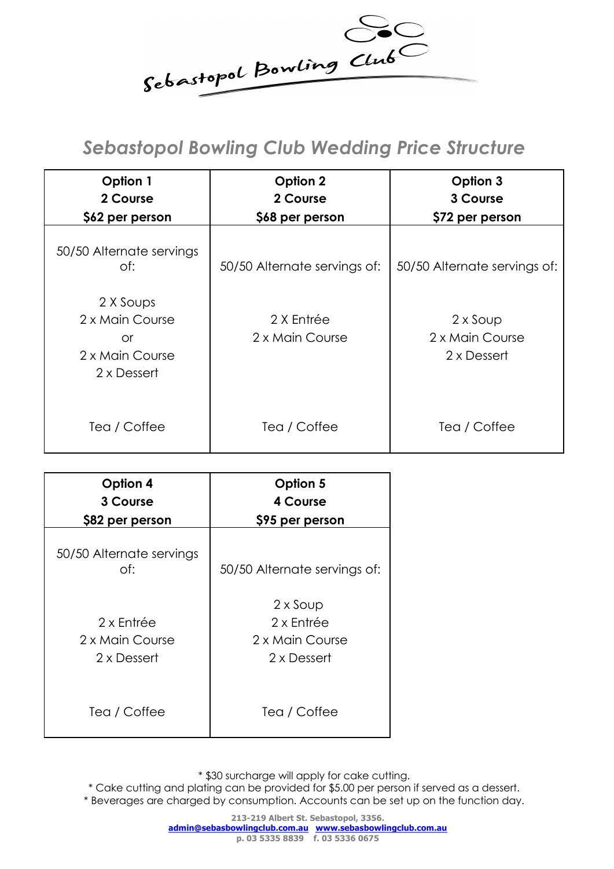

## *Sebastopol Bowling Club Wedding Price Structure*

| Option 1<br>2 Course<br>\$62 per person                              | Option 2<br>2 Course<br>\$68 per person | Option 3<br>3 Course<br>\$72 per person           |
|----------------------------------------------------------------------|-----------------------------------------|---------------------------------------------------|
| 50/50 Alternate servings<br>of:                                      | 50/50 Alternate servings of:            | 50/50 Alternate servings of:                      |
| 2 X Soups<br>2 x Main Course<br>or<br>2 x Main Course<br>2 x Dessert | 2 X Entrée<br>2 x Main Course           | $2 \times$ Soup<br>2 x Main Course<br>2 x Dessert |
| Tea / Coffee                                                         | Tea / Coffee                            | Tea / Coffee                                      |

| Option 4                                     | Option 5                                                        |
|----------------------------------------------|-----------------------------------------------------------------|
| 3 Course                                     | 4 Course                                                        |
| \$82 per person                              | \$95 per person                                                 |
| 50/50 Alternate servings<br>of:              | 50/50 Alternate servings of:                                    |
| 2 x Entrée<br>2 x Main Course<br>2 x Dessert | $2 \times$ Soup<br>2 x Entrée<br>2 x Main Course<br>2 x Dessert |
| Tea / Coffee                                 | Tea / Coffee                                                    |

\* \$30 surcharge will apply for cake cutting.

\* Cake cutting and plating can be provided for \$5.00 per person if served as a dessert.

\* Beverages are charged by consumption. Accounts can be set up on the function day.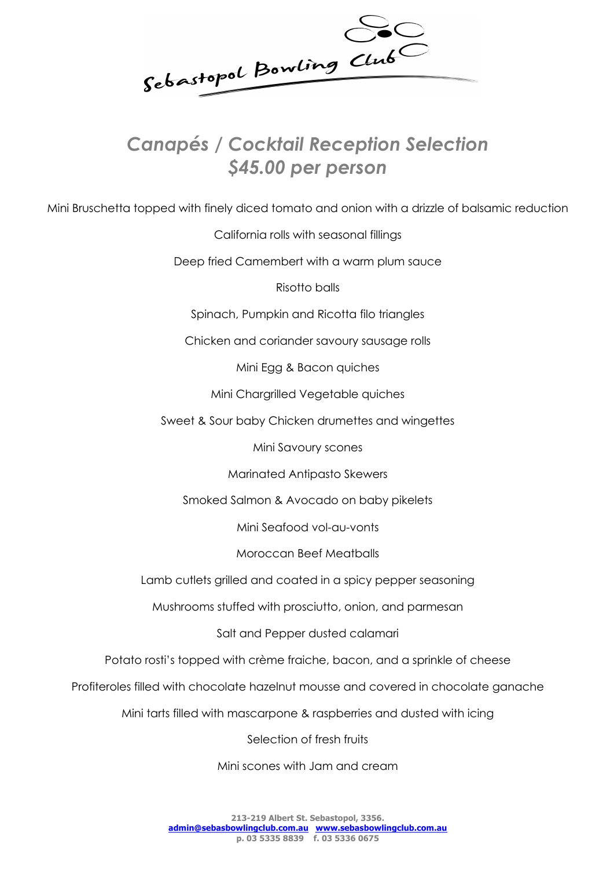Sebastopol Bowling Club

## *Canapés / Cocktail Reception Selection \$45.00 per person*

Mini Bruschetta topped with finely diced tomato and onion with a drizzle of balsamic reduction

California rolls with seasonal fillings

Deep fried Camembert with a warm plum sauce

Risotto balls

Spinach, Pumpkin and Ricotta filo triangles

Chicken and coriander savoury sausage rolls

Mini Egg & Bacon quiches

Mini Chargrilled Vegetable quiches

Sweet & Sour baby Chicken drumettes and wingettes

Mini Savoury scones

Marinated Antipasto Skewers

Smoked Salmon & Avocado on baby pikelets

Mini Seafood vol-au-vonts

Moroccan Beef Meatballs

Lamb cutlets grilled and coated in a spicy pepper seasoning

Mushrooms stuffed with prosciutto, onion, and parmesan

Salt and Pepper dusted calamari

Potato rosti's topped with crème fraiche, bacon, and a sprinkle of cheese

Profiteroles filled with chocolate hazelnut mousse and covered in chocolate ganache

Mini tarts filled with mascarpone & raspberries and dusted with icing

Selection of fresh fruits

Mini scones with Jam and cream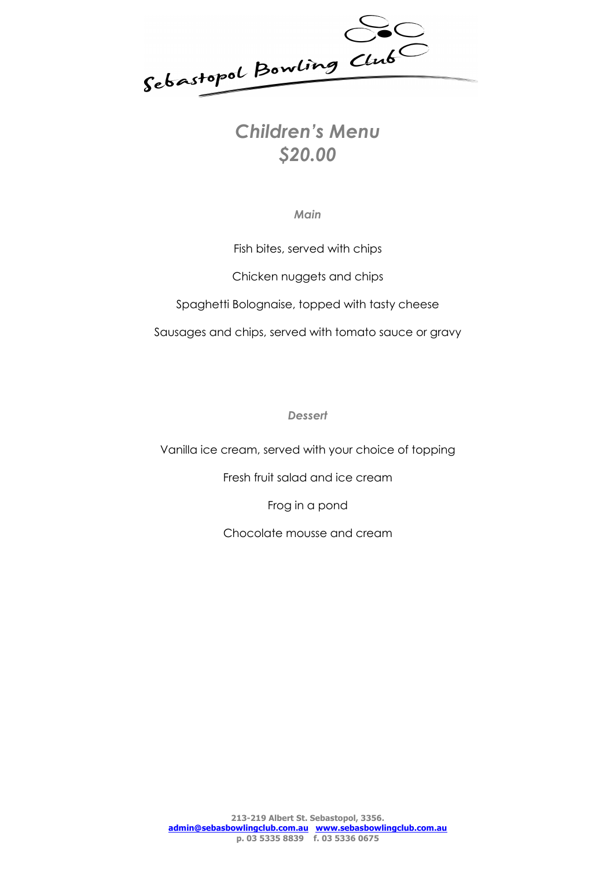

# *\$20.00*

*Main* 

Fish bites, served with chips Chicken nuggets and chips Spaghetti Bolognaise, topped with tasty cheese Sausages and chips, served with tomato sauce or gravy

*Dessert* 

Vanilla ice cream, served with your choice of topping

Fresh fruit salad and ice cream

Frog in a pond

Chocolate mousse and cream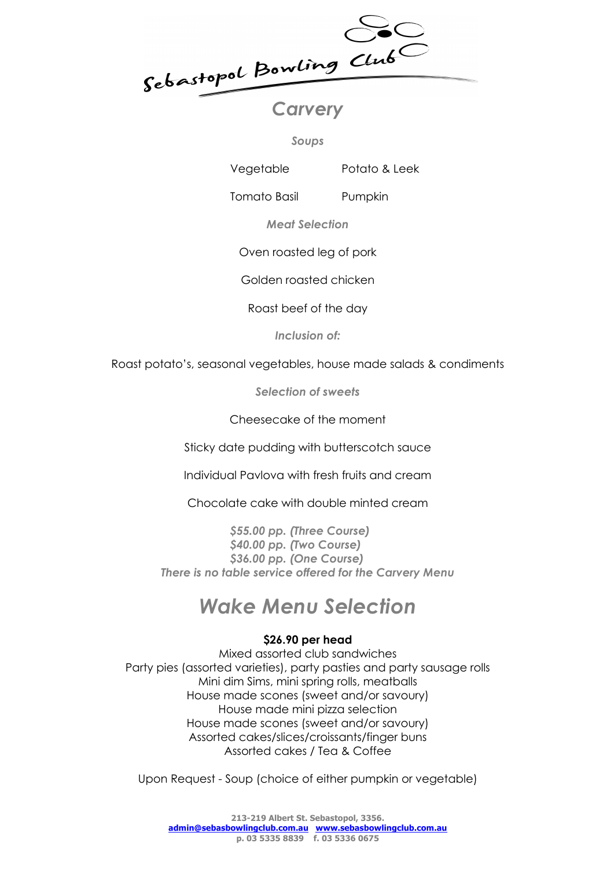Sebastopol Bowling Club

*Soups*

Vegetable Potato & Leek

Tomato Basil Pumpkin

*Meat Selection*

Oven roasted leg of pork

Golden roasted chicken

Roast beef of the day

*Inclusion of:*

Roast potato's, seasonal vegetables, house made salads & condiments

*Selection of sweets*

Cheesecake of the moment

Sticky date pudding with butterscotch sauce

Individual Pavlova with fresh fruits and cream

Chocolate cake with double minted cream

*\$55.00 pp. (Three Course) \$40.00 pp. (Two Course) \$36.00 pp. (One Course) There is no table service offered for the Carvery Menu*

# *Wake Menu Selection*

## **\$26.90 per head**

Mixed assorted club sandwiches Party pies (assorted varieties), party pasties and party sausage rolls Mini dim Sims, mini spring rolls, meatballs House made scones (sweet and/or savoury) House made mini pizza selection House made scones (sweet and/or savoury) Assorted cakes/slices/croissants/finger buns Assorted cakes / Tea & Coffee

Upon Request - Soup (choice of either pumpkin or vegetable)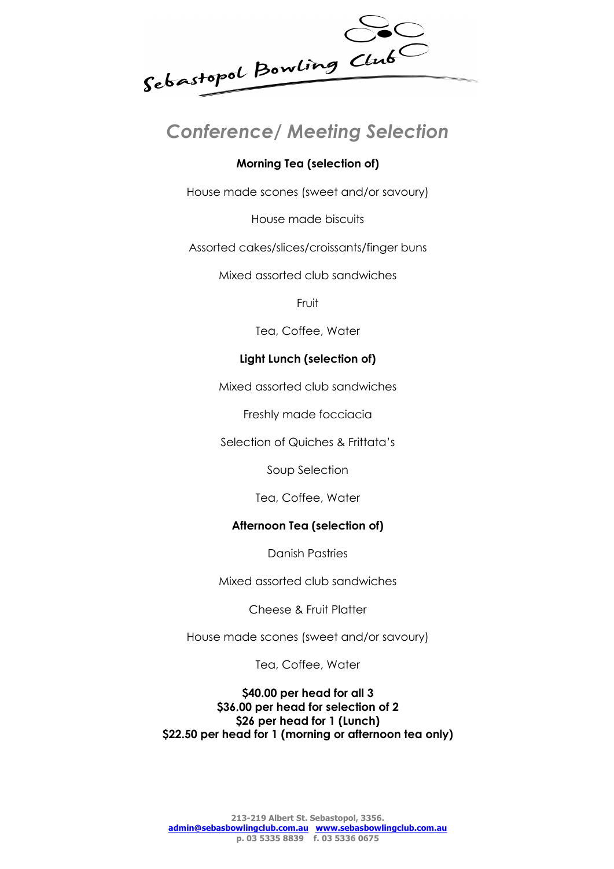

## *Conference/ Meeting Selection*

### **Morning Tea (selection of)**

House made scones (sweet and/or savoury)

House made biscuits

Assorted cakes/slices/croissants/finger buns

Mixed assorted club sandwiches

Fruit

Tea, Coffee, Water

#### **Light Lunch (selection of)**

Mixed assorted club sandwiches

Freshly made focciacia

Selection of Quiches & Frittata's

Soup Selection

Tea, Coffee, Water

#### **Afternoon Tea (selection of)**

Danish Pastries

Mixed assorted club sandwiches

Cheese & Fruit Platter

House made scones (sweet and/or savoury)

Tea, Coffee, Water

**\$40.00 per head for all 3 \$36.00 per head for selection of 2 \$26 per head for 1 (Lunch) \$22.50 per head for 1 (morning or afternoon tea only)**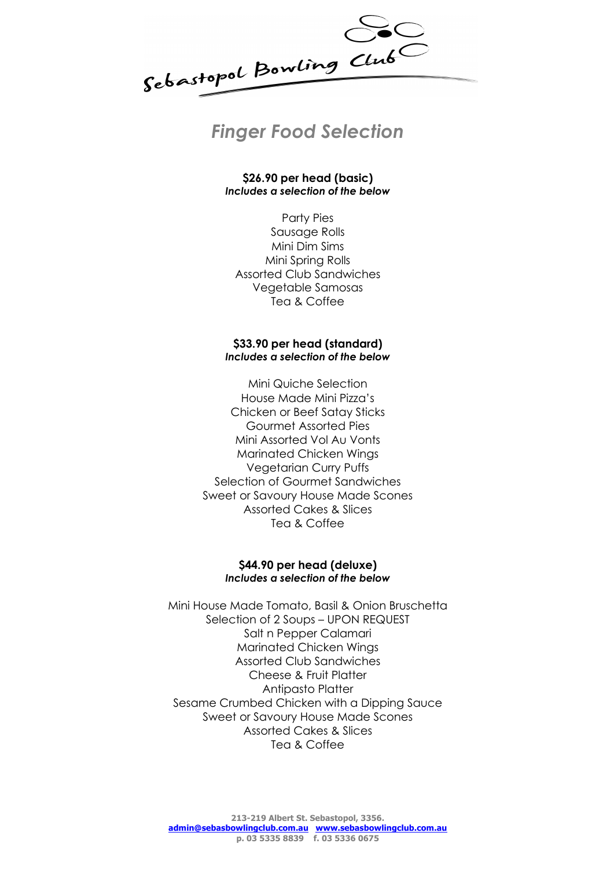

**\$26.90 per head (basic)** *Includes a selection of the below*

Party Pies Sausage Rolls Mini Dim Sims Mini Spring Rolls Assorted Club Sandwiches Vegetable Samosas Tea & Coffee

#### **\$33.90 per head (standard)** *Includes a selection of the below*

Mini Quiche Selection House Made Mini Pizza's Chicken or Beef Satay Sticks Gourmet Assorted Pies Mini Assorted Vol Au Vonts Marinated Chicken Wings Vegetarian Curry Puffs Selection of Gourmet Sandwiches Sweet or Savoury House Made Scones Assorted Cakes & Slices Tea & Coffee

#### **\$44.90 per head (deluxe)** *Includes a selection of the below*

Mini House Made Tomato, Basil & Onion Bruschetta Selection of 2 Soups – UPON REQUEST Salt n Pepper Calamari Marinated Chicken Wings Assorted Club Sandwiches Cheese & Fruit Platter Antipasto Platter Sesame Crumbed Chicken with a Dipping Sauce Sweet or Savoury House Made Scones Assorted Cakes & Slices Tea & Coffee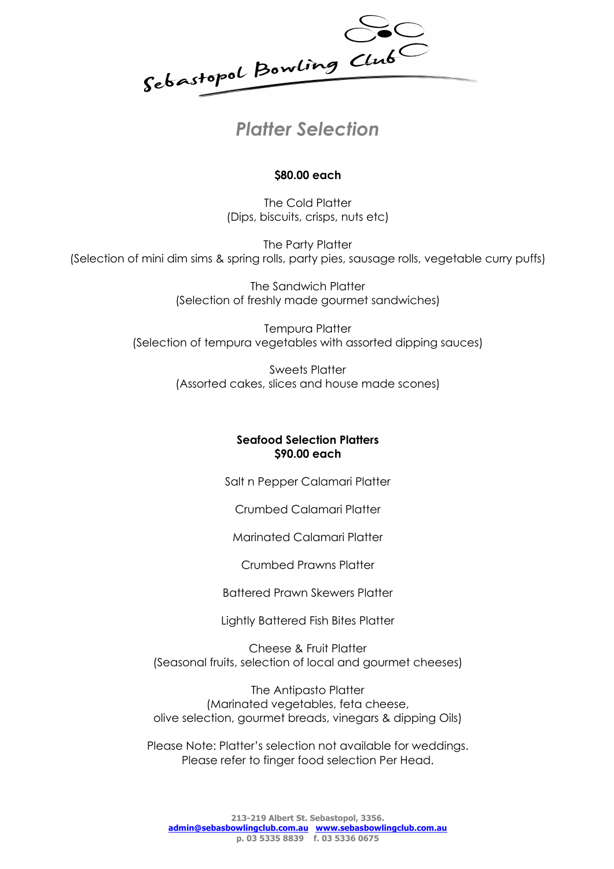

## **\$80.00 each**

The Cold Platter (Dips, biscuits, crisps, nuts etc)

The Party Platter (Selection of mini dim sims & spring rolls, party pies, sausage rolls, vegetable curry puffs)

> The Sandwich Platter (Selection of freshly made gourmet sandwiches)

Tempura Platter (Selection of tempura vegetables with assorted dipping sauces)

> Sweets Platter (Assorted cakes, slices and house made scones)

#### **Seafood Selection Platters \$90.00 each**

Salt n Pepper Calamari Platter

Crumbed Calamari Platter

Marinated Calamari Platter

Crumbed Prawns Platter

Battered Prawn Skewers Platter

Lightly Battered Fish Bites Platter

Cheese & Fruit Platter (Seasonal fruits, selection of local and gourmet cheeses)

The Antipasto Platter (Marinated vegetables, feta cheese, olive selection, gourmet breads, vinegars & dipping Oils)

Please Note: Platter's selection not available for weddings. Please refer to finger food selection Per Head.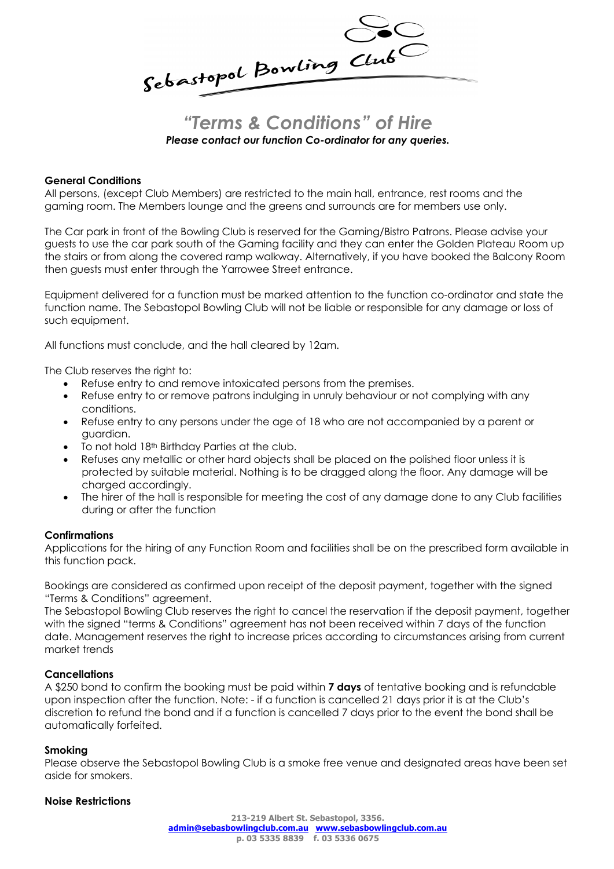Sebastopol Bowling Club

## *"Terms & Conditions" of Hire Please contact our function Co-ordinator for any queries.*

#### **General Conditions**

All persons, (except Club Members) are restricted to the main hall, entrance, rest rooms and the gaming room. The Members lounge and the greens and surrounds are for members use only.

The Car park in front of the Bowling Club is reserved for the Gaming/Bistro Patrons. Please advise your guests to use the car park south of the Gaming facility and they can enter the Golden Plateau Room up the stairs or from along the covered ramp walkway. Alternatively, if you have booked the Balcony Room then guests must enter through the Yarrowee Street entrance.

Equipment delivered for a function must be marked attention to the function co-ordinator and state the function name. The Sebastopol Bowling Club will not be liable or responsible for any damage or loss of such equipment.

All functions must conclude, and the hall cleared by 12am.

The Club reserves the right to:

- Refuse entry to and remove intoxicated persons from the premises.
- Refuse entry to or remove patrons indulging in unruly behaviour or not complying with any conditions.
- Refuse entry to any persons under the age of 18 who are not accompanied by a parent or guardian.
- To not hold 18<sup>th</sup> Birthday Parties at the club.
- Refuses any metallic or other hard objects shall be placed on the polished floor unless it is protected by suitable material. Nothing is to be dragged along the floor. Any damage will be charged accordingly.
- The hirer of the hall is responsible for meeting the cost of any damage done to any Club facilities during or after the function

#### **Confirmations**

Applications for the hiring of any Function Room and facilities shall be on the prescribed form available in this function pack.

Bookings are considered as confirmed upon receipt of the deposit payment, together with the signed "Terms & Conditions" agreement.

The Sebastopol Bowling Club reserves the right to cancel the reservation if the deposit payment, together with the signed "terms & Conditions" agreement has not been received within 7 days of the function date. Management reserves the right to increase prices according to circumstances arising from current market trends

#### **Cancellations**

A \$250 bond to confirm the booking must be paid within **7 days** of tentative booking and is refundable upon inspection after the function. Note: - if a function is cancelled 21 days prior it is at the Club's discretion to refund the bond and if a function is cancelled 7 days prior to the event the bond shall be automatically forfeited.

#### **Smoking**

Please observe the Sebastopol Bowling Club is a smoke free venue and designated areas have been set aside for smokers.

#### **Noise Restrictions**

**213-219 Albert St. Sebastopol, 3356. admin@sebasbowlingclub.com.au www.sebasbowlingclub.com.au p. 03 5335 8839 f. 03 5336 0675**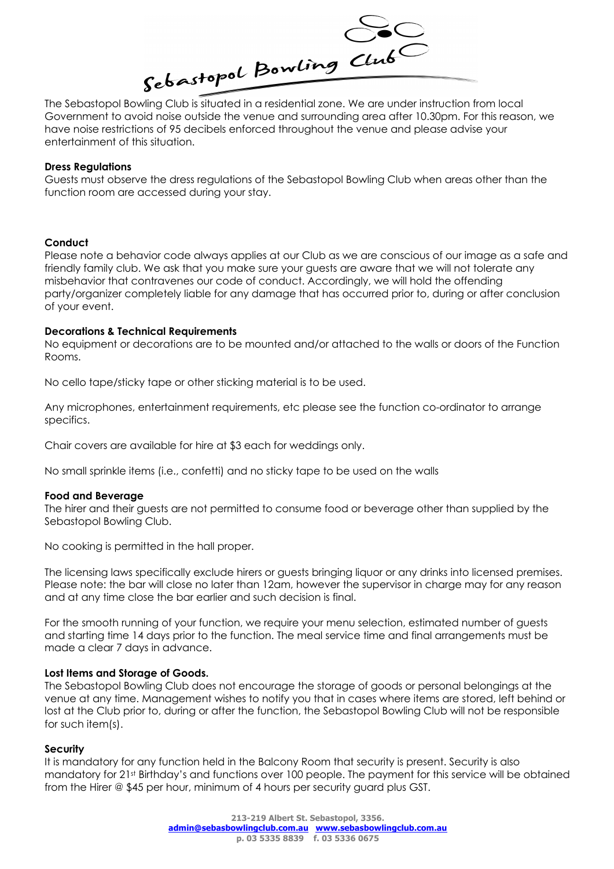

The Sebastopol Bowling Club is situated in a residential zone. We are under instruction from local have noise restrictions of 95 decibels enforced throughout the venue and please advise your entertainment of this situation.

#### **Dress Regulations**

Guests must observe the dress regulations of the Sebastopol Bowling Club when areas other than the function room are accessed during your stay.

#### **Conduct**

Please note a behavior code always applies at our Club as we are conscious of our image as a safe and friendly family club. We ask that you make sure your guests are aware that we will not tolerate any misbehavior that contravenes our code of conduct. Accordingly, we will hold the offending party/organizer completely liable for any damage that has occurred prior to, during or after conclusion of your event.

#### **Decorations & Technical Requirements**

No equipment or decorations are to be mounted and/or attached to the walls or doors of the Function Rooms.

No cello tape/sticky tape or other sticking material is to be used.

Any microphones, entertainment requirements, etc please see the function co-ordinator to arrange specifics.

Chair covers are available for hire at \$3 each for weddings only.

No small sprinkle items (i.e., confetti) and no sticky tape to be used on the walls

#### **Food and Beverage**

The hirer and their guests are not permitted to consume food or beverage other than supplied by the Sebastopol Bowling Club.

No cooking is permitted in the hall proper.

The licensing laws specifically exclude hirers or guests bringing liquor or any drinks into licensed premises. Please note: the bar will close no later than 12am, however the supervisor in charge may for any reason and at any time close the bar earlier and such decision is final.

For the smooth running of your function, we require your menu selection, estimated number of guests and starting time 14 days prior to the function. The meal service time and final arrangements must be made a clear 7 days in advance.

#### **Lost Items and Storage of Goods.**

The Sebastopol Bowling Club does not encourage the storage of goods or personal belongings at the venue at any time. Management wishes to notify you that in cases where items are stored, left behind or lost at the Club prior to, during or after the function, the Sebastopol Bowling Club will not be responsible for such item(s).

#### **Security**

It is mandatory for any function held in the Balcony Room that security is present. Security is also mandatory for 21st Birthday's and functions over 100 people. The payment for this service will be obtained from the Hirer @ \$45 per hour, minimum of 4 hours per security guard plus GST.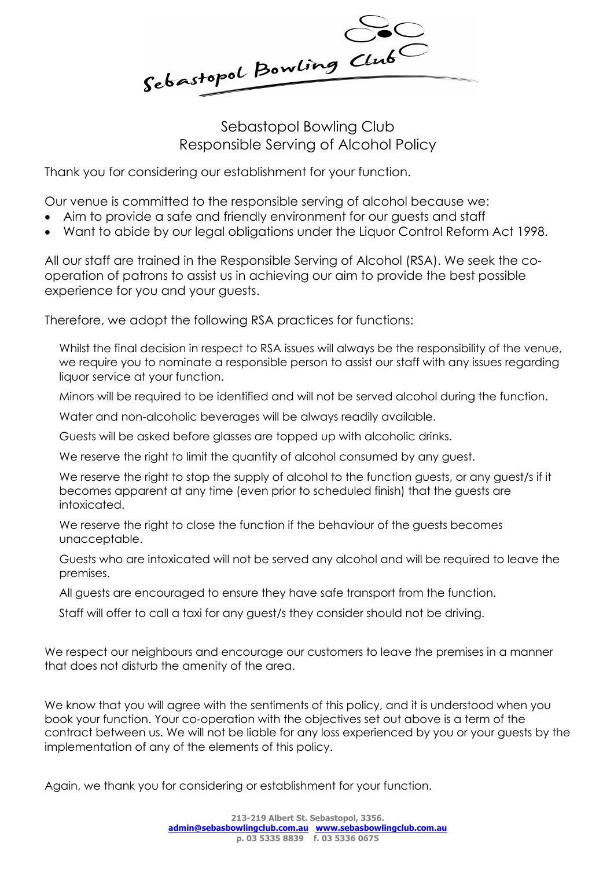Sebastopol Bowling Club

Sebastopol Bowling Club Responsible Serving of Alcohol Policy

Thank you for considering our establishment for your function.

Our venue is committed to the responsible serving of alcohol because we:

- Aim to provide a safe and friendly environment for our guests and staff
- Want to abide by our legal obligations under the Liquor Control Reform Act 1998.

All our staff are trained in the Responsible Serving of Alcohol (RSA). We seek the cooperation of patrons to assist us in achieving our aim to provide the best possible experience for you and your guests.

Therefore, we adopt the following RSA practices for functions:

Whilst the final decision in respect to RSA issues will always be the responsibility of the venue, we require you to nominate a responsible person to assist our staff with any issues regarding liquor service at your function.

Minors will be required to be identified and will not be served alcohol during the function.

Water and non-alcoholic beverages will be always readily available.

Guests will be asked before glasses are topped up with alcoholic drinks.

We reserve the right to limit the quantity of alcohol consumed by any guest.

We reserve the right to stop the supply of alcohol to the function quests, or any quest/s if it becomes apparent at any time (even prior to scheduled finish) that the guests are intoxicated.

We reserve the right to close the function if the behaviour of the guests becomes unacceptable.

Guests who are intoxicated will not be served any alcohol and will be required to leave the premises.

All guests are encouraged to ensure they have safe transport from the function.

Staff will offer to call a taxi for any guest/s they consider should not be driving.

We respect our neighbours and encourage our customers to leave the premises in a manner that does not disturb the amenity of the area.

We know that you will agree with the sentiments of this policy, and it is understood when you book your function. Your co-operation with the objectives set out above is a term of the contract between us. We will not be liable for any loss experienced by you or your guests by the implementation of any of the elements of this policy.

Again, we thank you for considering or establishment for your function.